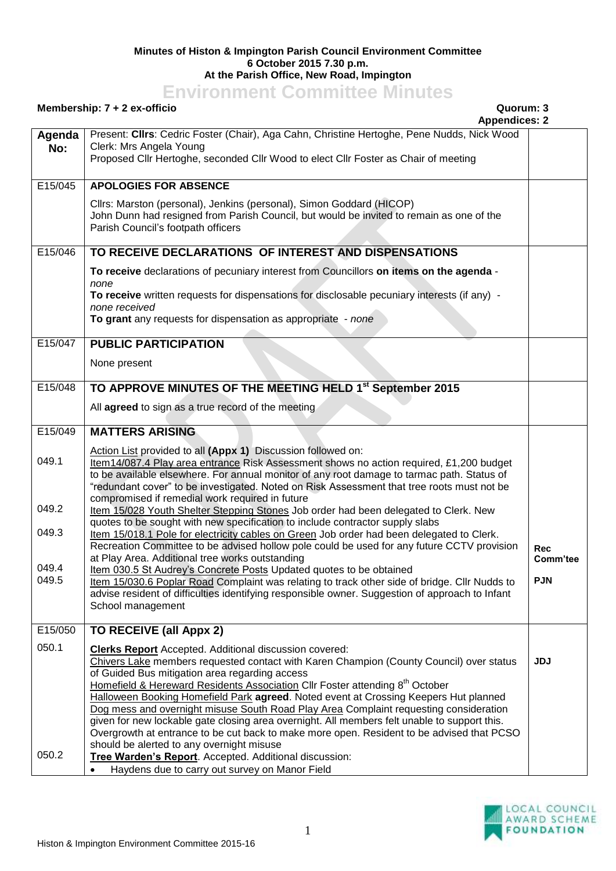## **Minutes of Histon & Impington Parish Council Environment Committee 6 October 2015 7.30 p.m. At the Parish Office, New Road, Impington**

## **Environment Committee Minutes**

## **Membership: 7 + 2 ex-officio Quorum: 3**

**Appendices: 2 Agenda No:** Present: **Cllrs**: Cedric Foster (Chair), Aga Cahn, Christine Hertoghe, Pene Nudds, Nick Wood Clerk: Mrs Angela Young Proposed Cllr Hertoghe, seconded Cllr Wood to elect Cllr Foster as Chair of meeting E15/045 **APOLOGIES FOR ABSENCE** Cllrs: Marston (personal), Jenkins (personal), Simon Goddard (HICOP) John Dunn had resigned from Parish Council, but would be invited to remain as one of the Parish Council's footpath officers E15/046 **TO RECEIVE DECLARATIONS OF INTEREST AND DISPENSATIONS To receive** declarations of pecuniary interest from Councillors **on items on the agenda** *none* **To receive** written requests for dispensations for disclosable pecuniary interests (if any) *none received* **To grant** any requests for dispensation as appropriate - *none* E15/047 **PUBLIC PARTICIPATION** None present E15/048 **TO APPROVE MINUTES OF THE MEETING HELD 1 st September 2015** All **agreed** to sign as a true record of the meeting E15/049 049.1 049.2 049.3 049.4 049.5 **MATTERS ARISING** Action List provided to all **(Appx 1)** Discussion followed on: Item14/087.4 Play area entrance Risk Assessment shows no action required, £1,200 budget to be available elsewhere. For annual monitor of any root damage to tarmac path. Status of "redundant cover" to be investigated. Noted on Risk Assessment that tree roots must not be compromised if remedial work required in future Item 15/028 Youth Shelter Stepping Stones Job order had been delegated to Clerk. New quotes to be sought with new specification to include contractor supply slabs Item 15/018.1 Pole for electricity cables on Green Job order had been delegated to Clerk. Recreation Committee to be advised hollow pole could be used for any future CCTV provision at Play Area. Additional tree works outstanding Item 030.5 St Audrey's Concrete Posts Updated quotes to be obtained Item 15/030.6 Poplar Road Complaint was relating to track other side of bridge. Cllr Nudds to advise resident of difficulties identifying responsible owner. Suggestion of approach to Infant School management **Rec Comm'tee PJN** E15/050 050.1 050.2 **TO RECEIVE (all Appx 2) Clerks Report** Accepted. Additional discussion covered: Chivers Lake members requested contact with Karen Champion (County Council) over status of Guided Bus mitigation area regarding access Homefield & Hereward Residents Association Cllr Foster attending 8<sup>th</sup> October Halloween Booking Homefield Park **agreed**. Noted event at Crossing Keepers Hut planned Dog mess and overnight misuse South Road Play Area Complaint requesting consideration given for new lockable gate closing area overnight. All members felt unable to support this. Overgrowth at entrance to be cut back to make more open. Resident to be advised that PCSO should be alerted to any overnight misuse **Tree Warden's Report**. Accepted. Additional discussion: Haydens due to carry out survey on Manor Field **JDJ**

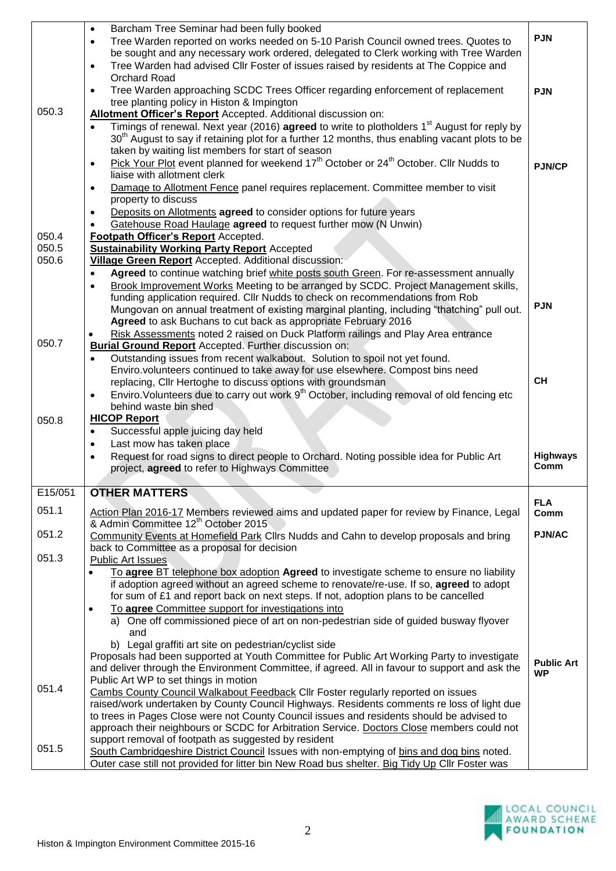|                | Barcham Tree Seminar had been fully booked<br>$\bullet$<br>Tree Warden reported on works needed on 5-10 Parish Council owned trees. Quotes to<br>$\bullet$<br>be sought and any necessary work ordered, delegated to Clerk working with Tree Warden<br>Tree Warden had advised Cllr Foster of issues raised by residents at The Coppice and<br>$\bullet$ | <b>PJN</b>                     |
|----------------|----------------------------------------------------------------------------------------------------------------------------------------------------------------------------------------------------------------------------------------------------------------------------------------------------------------------------------------------------------|--------------------------------|
|                | Orchard Road<br>Tree Warden approaching SCDC Trees Officer regarding enforcement of replacement<br>$\bullet$<br>tree planting policy in Histon & Impington                                                                                                                                                                                               | <b>PJN</b>                     |
| 050.3          | Allotment Officer's Report Accepted. Additional discussion on:<br>Timings of renewal. Next year (2016) agreed to write to plotholders 1 <sup>st</sup> August for reply by<br>$\bullet$<br>30 <sup>th</sup> August to say if retaining plot for a further 12 months, thus enabling vacant plots to be                                                     |                                |
|                | taken by waiting list members for start of season<br>Pick Your Plot event planned for weekend 17 <sup>th</sup> October or 24 <sup>th</sup> October. Cllr Nudds to<br>$\bullet$<br>liaise with allotment clerk                                                                                                                                            | <b>PJN/CP</b>                  |
|                | Damage to Allotment Fence panel requires replacement. Committee member to visit<br>$\bullet$<br>property to discuss                                                                                                                                                                                                                                      |                                |
|                | Deposits on Allotments agreed to consider options for future years<br>$\bullet$<br>Gatehouse Road Haulage agreed to request further mow (N Unwin)                                                                                                                                                                                                        |                                |
| 050.4<br>050.5 | Footpath Officer's Report Accepted.<br><b>Sustainability Working Party Report Accepted</b>                                                                                                                                                                                                                                                               |                                |
| 050.6          | Village Green Report Accepted. Additional discussion:<br>Agreed to continue watching brief white posts south Green. For re-assessment annually<br>$\bullet$                                                                                                                                                                                              |                                |
|                | Brook Improvement Works Meeting to be arranged by SCDC. Project Management skills,<br>$\bullet$<br>funding application required. Cllr Nudds to check on recommendations from Rob<br>Mungovan on annual treatment of existing marginal planting, including "thatching" pull out.<br>Agreed to ask Buchans to cut back as appropriate February 2016        | <b>PJN</b>                     |
| 050.7          | Risk Assessments noted 2 raised on Duck Platform railings and Play Area entrance<br><b>Burial Ground Report</b> Accepted. Further discussion on:                                                                                                                                                                                                         |                                |
|                | Outstanding issues from recent walkabout. Solution to spoil not yet found.<br>$\bullet$<br>Enviro.volunteers continued to take away for use elsewhere. Compost bins need<br>replacing, Cllr Hertoghe to discuss options with groundsman                                                                                                                  | <b>CH</b>                      |
|                | Enviro. Volunteers due to carry out work 9 <sup>th</sup> October, including removal of old fencing etc<br>$\bullet$<br>behind waste bin shed                                                                                                                                                                                                             |                                |
| 050.8          | <b>HICOP Report</b><br>Successful apple juicing day held<br>$\bullet$                                                                                                                                                                                                                                                                                    |                                |
|                | Last mow has taken place<br>$\bullet$<br>Request for road signs to direct people to Orchard. Noting possible idea for Public Art<br>$\bullet$                                                                                                                                                                                                            | <b>Highways</b>                |
|                | project, agreed to refer to Highways Committee                                                                                                                                                                                                                                                                                                           | Comm                           |
| E15/051        | <b>OTHER MATTERS</b>                                                                                                                                                                                                                                                                                                                                     | <b>FLA</b>                     |
| 051.1          | Action Plan 2016-17 Members reviewed aims and updated paper for review by Finance, Legal<br>& Admin Committee 12 <sup>th</sup> October 2015                                                                                                                                                                                                              | Comm                           |
| 051.2          | Community Events at Homefield Park Cllrs Nudds and Cahn to develop proposals and bring<br>back to Committee as a proposal for decision                                                                                                                                                                                                                   | <b>PJN/AC</b>                  |
| 051.3          | <b>Public Art Issues</b><br>To agree BT telephone box adoption Agreed to investigate scheme to ensure no liability                                                                                                                                                                                                                                       |                                |
|                | if adoption agreed without an agreed scheme to renovate/re-use. If so, agreed to adopt<br>for sum of £1 and report back on next steps. If not, adoption plans to be cancelled                                                                                                                                                                            |                                |
|                | To agree Committee support for investigations into<br>$\bullet$<br>a) One off commissioned piece of art on non-pedestrian side of guided busway flyover<br>and                                                                                                                                                                                           |                                |
|                | b) Legal graffiti art site on pedestrian/cyclist side<br>Proposals had been supported at Youth Committee for Public Art Working Party to investigate                                                                                                                                                                                                     |                                |
|                | and deliver through the Environment Committee, if agreed. All in favour to support and ask the<br>Public Art WP to set things in motion                                                                                                                                                                                                                  | <b>Public Art</b><br><b>WP</b> |
| 051.4          | Cambs County Council Walkabout Feedback Cllr Foster regularly reported on issues<br>raised/work undertaken by County Council Highways. Residents comments re loss of light due<br>to trees in Pages Close were not County Council issues and residents should be advised to                                                                              |                                |
|                | approach their neighbours or SCDC for Arbitration Service. Doctors Close members could not<br>support removal of footpath as suggested by resident                                                                                                                                                                                                       |                                |
| 051.5          | South Cambridgeshire District Council Issues with non-emptying of bins and dog bins noted.<br>Outer case still not provided for litter bin New Road bus shelter. Big Tidy Up Cllr Foster was                                                                                                                                                             |                                |